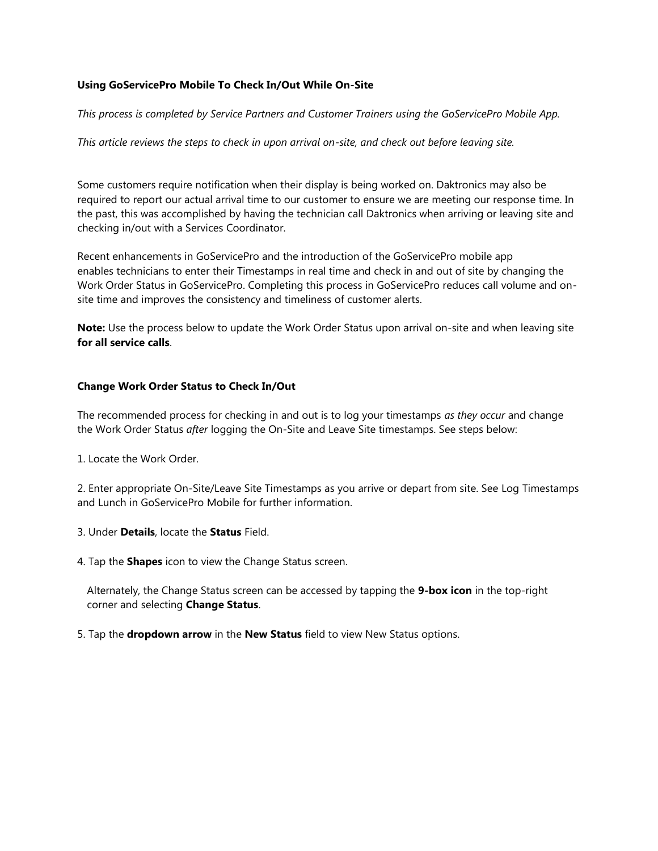## **Using GoServicePro Mobile To Check In/Out While On-Site**

*This process is completed by Service Partners and Customer Trainers using the GoServicePro Mobile App.*

*This article reviews the steps to check in upon arrival on-site, and check out before leaving site.*

Some customers require notification when their display is being worked on. Daktronics may also be required to report our actual arrival time to our customer to ensure we are meeting our response time. In the past, this was accomplished by having the technician call Daktronics when arriving or leaving site and checking in/out with a Services Coordinator.

Recent enhancements in GoServicePro and the introduction of the GoServicePro mobile app enables technicians to enter their Timestamps in real time and check in and out of site by changing the Work Order Status in GoServicePro. Completing this process in GoServicePro reduces call volume and onsite time and improves the consistency and timeliness of customer alerts.

**Note:** Use the process below to update the Work Order Status upon arrival on-site and when leaving site **for all service calls**.

## **Change Work Order Status to Check In/Out**

The recommended process for checking in and out is to log your timestamps *as they occur* and change the Work Order Status *after* logging the On-Site and Leave Site timestamps. See steps below:

1. Locate the Work Order.

2. Enter appropriate On-Site/Leave Site Timestamps as you arrive or depart from site. See Log Timestamps and Lunch in GoServicePro Mobile for further information.

- 3. Under **Details**, locate the **Status** Field.
- 4. Tap the **Shapes** icon to view the Change Status screen.

Alternately, the Change Status screen can be accessed by tapping the **9-box icon** in the top-right corner and selecting **Change Status**.

5. Tap the **dropdown arrow** in the **New Status** field to view New Status options.